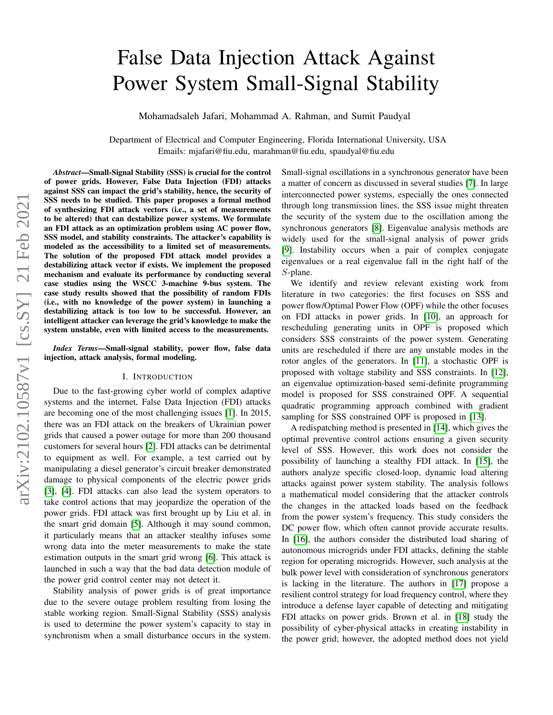# False Data Injection Attack Against Power System Small-Signal Stability

Mohamadsaleh Jafari, Mohammad A. Rahman, and Sumit Paudyal

Department of Electrical and Computer Engineering, Florida International University, USA Emails: mjafari@fiu.edu, marahman@fiu.edu, spaudyal@fiu.edu

*Abstract*—Small-Signal Stability (SSS) is crucial for the control of power grids. However, False Data Injection (FDI) attacks against SSS can impact the grid's stability, hence, the security of SSS needs to be studied. This paper proposes a formal method of synthesizing FDI attack vectors (i.e., a set of measurements to be altered) that can destabilize power systems. We formulate an FDI attack as an optimization problem using AC power flow, SSS model, and stability constraints. The attacker's capability is modeled as the accessibility to a limited set of measurements. The solution of the proposed FDI attack model provides a destabilizing attack vector if exists. We implement the proposed mechanism and evaluate its performance by conducting several case studies using the WSCC 3-machine 9-bus system. The case study results showed that the possibility of random FDIs (i.e., with no knowledge of the power system) in launching a destabilizing attack is too low to be successful. However, an intelligent attacker can leverage the grid's knowledge to make the system unstable, even with limited access to the measurements.

*Index Terms*—Small-signal stability, power flow, false data injection, attack analysis, formal modeling.

## I. INTRODUCTION

Due to the fast-growing cyber world of complex adaptive systems and the internet, False Data Injection (FDI) attacks are becoming one of the most challenging issues [\[1\]](#page-4-0). In 2015, there was an FDI attack on the breakers of Ukrainian power grids that caused a power outage for more than 200 thousand customers for several hours [\[2\]](#page-4-1). FDI attacks can be detrimental to equipment as well. For example, a test carried out by manipulating a diesel generator's circuit breaker demonstrated damage to physical components of the electric power grids [\[3\]](#page-4-2), [\[4\]](#page-4-3). FDI attacks can also lead the system operators to take control actions that may jeopardize the operation of the power grids. FDI attack was first brought up by Liu et al. in the smart grid domain [\[5\]](#page-4-4). Although it may sound common, it particularly means that an attacker stealthy infuses some wrong data into the meter measurements to make the state estimation outputs in the smart grid wrong [\[6\]](#page-4-5). This attack is launched in such a way that the bad data detection module of the power grid control center may not detect it.

Stability analysis of power grids is of great importance due to the severe outage problem resulting from losing the stable working region. Small-Signal Stability (SSS) analysis is used to determine the power system's capacity to stay in synchronism when a small disturbance occurs in the system. Small-signal oscillations in a synchronous generator have been a matter of concern as discussed in several studies [\[7\]](#page-4-6). In large interconnected power systems, especially the ones connected through long transmission lines, the SSS issue might threaten the security of the system due to the oscillation among the synchronous generators [\[8\]](#page-4-7). Eigenvalue analysis methods are widely used for the small-signal analysis of power grids [\[9\]](#page-4-8). Instability occurs when a pair of complex conjugate eigenvalues or a real eigenvalue fall in the right half of the S-plane.

We identify and review relevant existing work from literature in two categories: the first focuses on SSS and power flow/Optimal Power Flow (OPF) while the other focuses on FDI attacks in power grids. In [\[10\]](#page-4-9), an approach for rescheduling generating units in OPF is proposed which considers SSS constraints of the power system. Generating units are rescheduled if there are any unstable modes in the rotor angles of the generators. In [\[11\]](#page-4-10), a stochastic OPF is proposed with voltage stability and SSS constraints. In [\[12\]](#page-4-11), an eigenvalue optimization-based semi-definite programming model is proposed for SSS constrained OPF. A sequential quadratic programming approach combined with gradient sampling for SSS constrained OPF is proposed in [\[13\]](#page-4-12).

A redispatching method is presented in [\[14\]](#page-4-13), which gives the optimal preventive control actions ensuring a given security level of SSS. However, this work does not consider the possibility of launching a stealthy FDI attack. In [\[15\]](#page-4-14), the authors analyze specific closed-loop, dynamic load altering attacks against power system stability. The analysis follows a mathematical model considering that the attacker controls the changes in the attacked loads based on the feedback from the power system's frequency. This study considers the DC power flow, which often cannot provide accurate results. In [\[16\]](#page-4-15), the authors consider the distributed load sharing of autonomous microgrids under FDI attacks, defining the stable region for operating microgrids. However, such analysis at the bulk power level with consideration of synchronous generators is lacking in the literature. The authors in [\[17\]](#page-4-16) propose a resilient control strategy for load frequency control, where they introduce a defense layer capable of detecting and mitigating FDI attacks on power grids. Brown et al. in [\[18\]](#page-4-17) study the possibility of cyber-physical attacks in creating instability in the power grid; however, the adopted method does not yield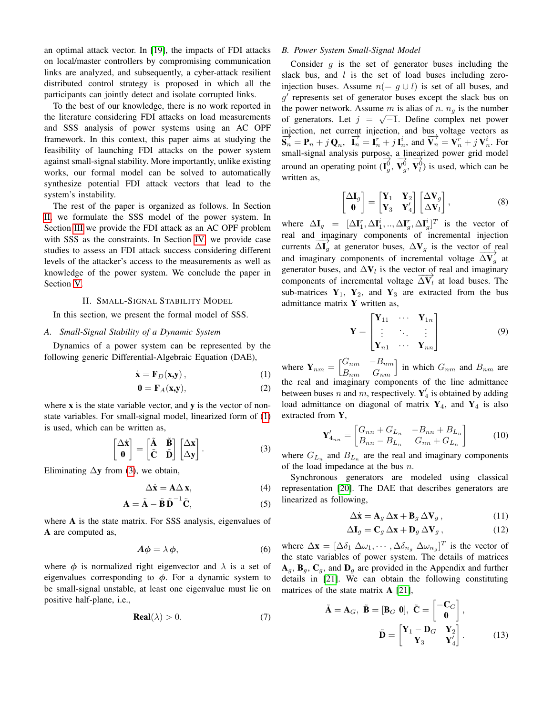an optimal attack vector. In [\[19\]](#page-4-18), the impacts of FDI attacks on local/master controllers by compromising communication links are analyzed, and subsequently, a cyber-attack resilient distributed control strategy is proposed in which all the participants can jointly detect and isolate corrupted links.

To the best of our knowledge, there is no work reported in the literature considering FDI attacks on load measurements and SSS analysis of power systems using an AC OPF framework. In this context, this paper aims at studying the feasibility of launching FDI attacks on the power system against small-signal stability. More importantly, unlike existing works, our formal model can be solved to automatically synthesize potential FDI attack vectors that lead to the system's instability.

The rest of the paper is organized as follows. In Section [II,](#page-1-0) we formulate the SSS model of the power system. In Section [III](#page-2-0) we provide the FDI attack as an AC OPF problem with SSS as the constraints. In Section [IV,](#page-2-1) we provide case studies to assess an FDI attack success considering different levels of the attacker's access to the measurements as well as knowledge of the power system. We conclude the paper in Section [V.](#page-4-19)

## II. SMALL-SIGNAL STABILITY MODEL

<span id="page-1-0"></span>In this section, we present the formal model of SSS.

# *A. Small-Signal Stability of a Dynamic System*

Dynamics of a power system can be represented by the following generic Differential-Algebraic Equation (DAE),

$$
\dot{\mathbf{x}} = \mathbf{F}_D(\mathbf{x}, \mathbf{y}),\tag{1}
$$

$$
\mathbf{0} = \mathbf{F}_A(\mathbf{x}, \mathbf{y}),\tag{2}
$$

where  $x$  is the state variable vector, and  $y$  is the vector of nonstate variables. For small-signal model, linearized form of [\(1\)](#page-1-1) is used, which can be written as,

<span id="page-1-2"></span>
$$
\begin{bmatrix} \Delta \dot{\mathbf{x}} \\ \mathbf{0} \end{bmatrix} = \begin{bmatrix} \tilde{\mathbf{A}} & \tilde{\mathbf{B}} \\ \tilde{\mathbf{C}} & \tilde{\mathbf{D}} \end{bmatrix} \begin{bmatrix} \Delta \mathbf{x} \\ \Delta \mathbf{y} \end{bmatrix}.
$$
 (3)

Eliminating  $\Delta y$  from [\(3\)](#page-1-2), we obtain,

$$
\Delta \dot{\mathbf{x}} = \mathbf{A} \Delta \mathbf{x},\tag{4}
$$

$$
\mathbf{A} = \tilde{\mathbf{A}} - \tilde{\mathbf{B}} \tilde{\mathbf{D}}^{-1} \tilde{\mathbf{C}},
$$
 (5)

where A is the state matrix. For SSS analysis, eigenvalues of A are computed as,

$$
A\phi = \lambda \phi, \tag{6}
$$

where  $\phi$  is normalized right eigenvector and  $\lambda$  is a set of eigenvalues corresponding to  $\phi$ . For a dynamic system to be small-signal unstable, at least one eigenvalue must lie on positive half-plane, i.e.,

$$
Real(\lambda) > 0. \tag{7}
$$

# *B. Power System Small-Signal Model*

Consider  $q$  is the set of generator buses including the slack bus, and  $l$  is the set of load buses including zeroinjection buses. Assume  $n(= g \cup l)$  is set of all buses, and  $g'$  represents set of generator buses except the slack bus on the power network. Assume m is alias of n.  $n_g$  is the number of generators. Let  $j = \sqrt{-1}$ . Define complex net power injection, net current injection, and bus voltage vectors as  $\overrightarrow{S_n} = \mathbf{P}_n + j\mathbf{Q}_n$ ,  $\overrightarrow{I_n} = \mathbf{I}_n^r + j\mathbf{I}_n^i$ , and  $\overrightarrow{V_n} = \mathbf{V}_n^r + j\mathbf{V}_n^i$ . For small-signal analysis purpose, a linearized power grid model around an operating point  $(\mathbf{I}_{g}^0, \mathbf{V}_{g}^0, \mathbf{V}_{l}^0)$  is used, which can be written as,

$$
\begin{bmatrix} \Delta \mathbf{I}_g \\ \mathbf{0} \end{bmatrix} = \begin{bmatrix} \mathbf{Y}_1 & \mathbf{Y}_2 \\ \mathbf{Y}_3 & \mathbf{Y}'_4 \end{bmatrix} \begin{bmatrix} \Delta \mathbf{V}_g \\ \Delta \mathbf{V}_l \end{bmatrix},
$$
(8)

where  $\Delta \mathbf{I}_g = [\Delta \mathbf{I}_1^r, \Delta \mathbf{I}_1^i, ..., \Delta \mathbf{I}_g^r, \Delta \mathbf{I}_g^i]^T$  is the vector of real and imaginary components of incremental injection currents  $\overrightarrow{\Delta I_g}$  at generator buses,  $\Delta V_g$  is the vector of real and imaginary components of incremental voltage  $\overline{\Delta V_g}$  at generator buses, and  $\Delta V_l$  is the vector of real and imaginary components of incremental voltage  $\overline{\Delta V_i}$  at load buses. The sub-matrices  $Y_1$ ,  $Y_2$ , and  $Y_3$  are extracted from the bus admittance matrix Y written as,

$$
\mathbf{Y} = \begin{bmatrix} \mathbf{Y}_{11} & \cdots & \mathbf{Y}_{1n} \\ \vdots & \ddots & \vdots \\ \mathbf{Y}_{n1} & \cdots & \mathbf{Y}_{nn} \end{bmatrix}
$$
(9)

<span id="page-1-1"></span>where  $Y_{nm} = \begin{bmatrix} G_{nm} & -B_{nm} \\ B & C \end{bmatrix}$  $B_{nm}$   $G_{nm}$ in which  $G_{nm}$  and  $B_{nm}$  are the real and imaginary components of the line admittance between buses n and m, respectively.  $Y'_4$  is obtained by adding load admittance on diagonal of matrix  $Y_4$ , and  $Y_4$  is also extracted from Y,

$$
\mathbf{Y}'_{4_{nn}} = \begin{bmatrix} G_{nn} + G_{L_n} & -B_{nn} + B_{L_n} \\ B_{nn} - B_{L_n} & G_{nn} + G_{L_n} \end{bmatrix}
$$
 (10)

where  $G_{L_n}$  and  $B_{L_n}$  are the real and imaginary components of the load impedance at the bus  $n$ .

Synchronous generators are modeled using classical representation [\[20\]](#page-4-20). The DAE that describes generators are linearized as following,

$$
\Delta \dot{\mathbf{x}} = \mathbf{A}_g \, \Delta \mathbf{x} + \mathbf{B}_g \, \Delta \mathbf{V}_g \,, \tag{11}
$$

$$
\Delta \mathbf{I}_g = \mathbf{C}_g \, \Delta \mathbf{x} + \mathbf{D}_g \, \Delta \mathbf{V}_g \,, \tag{12}
$$

where  $\Delta \mathbf{x} = [\Delta \delta_1 \ \Delta \omega_1, \cdots, \Delta \delta_{n_g} \ \Delta \omega_{n_g}]^T$  is the vector of the state variables of power system. The details of matrices  $\mathbf{A}_q$ ,  $\mathbf{B}_q$ ,  $\mathbf{C}_q$ , and  $\mathbf{D}_q$  are provided in the Appendix and further details in [\[21\]](#page-4-21). We can obtain the following constituting matrices of the state matrix **A** [\[21\]](#page-4-21),

$$
\tilde{\mathbf{A}} = \mathbf{A}_G, \ \tilde{\mathbf{B}} = [\mathbf{B}_G \ \mathbf{0}], \ \tilde{\mathbf{C}} = \begin{bmatrix} -\mathbf{C}_G \\ \mathbf{0} \end{bmatrix},
$$

$$
\tilde{\mathbf{D}} = \begin{bmatrix} \mathbf{Y}_1 - \mathbf{D}_G & \mathbf{Y}_2 \\ \mathbf{Y}_3 & \mathbf{Y}'_4 \end{bmatrix}.
$$
(13)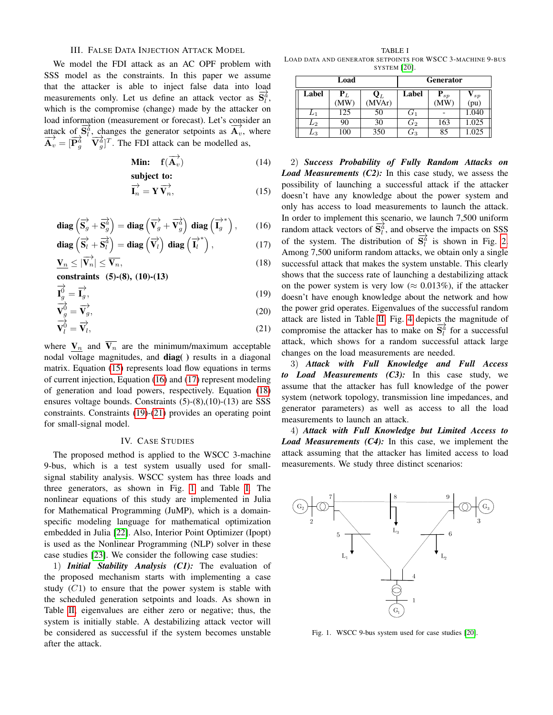# III. FALSE DATA INJECTION ATTACK MODEL

<span id="page-2-0"></span>We model the FDI attack as an AC OPF problem with SSS model as the constraints. In this paper we assume that the attacker is able to inject false data into load measurements only. Let us define an attack vector as  $\overline{S}_{l}^{\alpha}$ , which is the compromise (change) made by the attacker on load information (measurement or forecast). Let's consider an bead information (incastrement of forecast). Ext straighted and  $\overrightarrow{A}_v$ , where  $\overrightarrow{\mathbf{A}_v} = [\overrightarrow{\mathbf{P}_g^d} \quad \overrightarrow{\mathbf{V}_g^d}]^T$ . The FDI attack can be modelled as,

**Min:** 
$$
f(\overrightarrow{A}_v)
$$
 (14)  
subject to:

$$
\overrightarrow{\mathbf{I}_n} = \mathbf{Y} \overrightarrow{\mathbf{V}_n},\tag{15}
$$

diag 
$$
(\vec{S}_g + \vec{S}_g^2)
$$
 = diag  $(\vec{V}_g + \vec{V}_g^2)$  diag  $(\vec{I}_g^*)$ , (16)

$$
\mathbf{diag}\left(\overrightarrow{\mathbf{S}_{l}}+\overrightarrow{\mathbf{S}_{l}^{2}}\right)=\mathbf{diag}\left(\overrightarrow{\mathbf{V}_{l}}\right)\,\mathbf{diag}\left(\overrightarrow{\mathbf{I}_{l}}^{*}\right),\qquad(17)
$$

$$
\underline{\mathbf{V}_n} \le |\overrightarrow{\mathbf{V}_n}| \le \overleftarrow{\mathbf{V}_n},\tag{18}
$$

constraints (5)-(8), (10)-(13)

$$
\vec{\mathbf{I}}_g^{\vec{0}} = \vec{\mathbf{I}}_g^{\vec{}}\,,\tag{19}
$$

$$
\mathbf{V}_g^0 = \overrightarrow{\mathbf{V}_g},\tag{20}
$$

$$
\overrightarrow{\mathbf{V}_{l}^{0}} = \overrightarrow{\mathbf{V}_{l}},\tag{21}
$$

where  $V_n$  and  $\overline{V_n}$  are the minimum/maximum acceptable nodal voltage magnitudes, and diag() results in a diagonal matrix. Equation [\(15\)](#page-2-2) represents load flow equations in terms of current injection, Equation [\(16\)](#page-2-3) and [\(17\)](#page-2-4) represent modeling of generation and load powers, respectively. Equation [\(18\)](#page-2-5) ensures voltage bounds. Constraints (5)-(8),(10)-(13) are SSS constraints. Constraints [\(19\)](#page-2-6)-[\(21\)](#page-2-7) provides an operating point for small-signal model.

## IV. CASE STUDIES

<span id="page-2-1"></span>The proposed method is applied to the WSCC 3-machine 9-bus, which is a test system usually used for smallsignal stability analysis. WSCC system has three loads and three generators, as shown in Fig. [1](#page-2-8) and Table [I.](#page-2-9) The nonlinear equations of this study are implemented in Julia for Mathematical Programming (JuMP), which is a domainspecific modeling language for mathematical optimization embedded in Julia [\[22\]](#page-4-22). Also, Interior Point Optimizer (Ipopt) is used as the Nonlinear Programming (NLP) solver in these case studies [\[23\]](#page-4-23). We consider the following case studies:

1) *Initial Stability Analysis (C1):* The evaluation of the proposed mechanism starts with implementing a case study  $(C1)$  to ensure that the power system is stable with the scheduled generation setpoints and loads. As shown in Table [II,](#page-3-0) eigenvalues are either zero or negative; thus, the system is initially stable. A destabilizing attack vector will be considered as successful if the system becomes unstable after the attack.

<span id="page-2-9"></span>TABLE I LOAD DATA AND GENERATOR SETPOINTS FOR WSCC 3-MACHINE 9-BUS SYSTEM [\[20\]](#page-4-20).

| Load  |                     |                          | <b>Generator</b> |                        |                        |
|-------|---------------------|--------------------------|------------------|------------------------|------------------------|
| Label | ${\bf P}_L$<br>(MW) | $\mathbf{Q}_L$<br>(MVAr) | Label            | ${\bf P}_{sp}$<br>(MW) | ${\bf V}_{sp}$<br>(pu) |
| $L_1$ | 125                 | 50                       | $G_1$            |                        | 1.040                  |
| $L_2$ | 90                  | 30                       | $G_2$            | 163                    | 1.025                  |
| L3    | 100                 | 350                      | $\mathfrak{G}_3$ | 85                     | 1.025                  |

<span id="page-2-5"></span><span id="page-2-4"></span><span id="page-2-3"></span><span id="page-2-2"></span>2) *Success Probability of Fully Random Attacks on Load Measurements (C2):* In this case study, we assess the possibility of launching a successful attack if the attacker doesn't have any knowledge about the power system and only has access to load measurements to launch the attack. In order to implement this scenario, we launch 7,500 uniform random attack vectors of  $\overline{S_l^d}$ , and observe the impacts on SSS of the system. The distribution of  $\overline{S}_{l}^{\lambda}$  is shown in Fig. [2.](#page-3-1) Among 7,500 uniform random attacks, we obtain only a single successful attack that makes the system unstable. This clearly shows that the success rate of launching a destabilizing attack on the power system is very low ( $\approx 0.013\%$ ), if the attacker doesn't have enough knowledge about the network and how the power grid operates. Eigenvalues of the successful random attack are listed in Table [II.](#page-3-0) Fig. [4](#page-3-2) depicts the magnitude of compromise the attacker has to make on  $\overline{S}_{l}^{\lambda}$  for a successful attack, which shows for a random successful attack large changes on the load measurements are needed.

<span id="page-2-7"></span><span id="page-2-6"></span>3) *Attack with Full Knowledge and Full Access to Load Measurements (C3):* In this case study, we assume that the attacker has full knowledge of the power system (network topology, transmission line impedances, and generator parameters) as well as access to all the load measurements to launch an attack.

4) *Attack with Full Knowledge but Limited Access to Load Measurements (C4):* In this case, we implement the attack assuming that the attacker has limited access to load measurements. We study three distinct scenarios:



<span id="page-2-8"></span>Fig. 1. WSCC 9-bus system used for case studies [\[20\]](#page-4-20).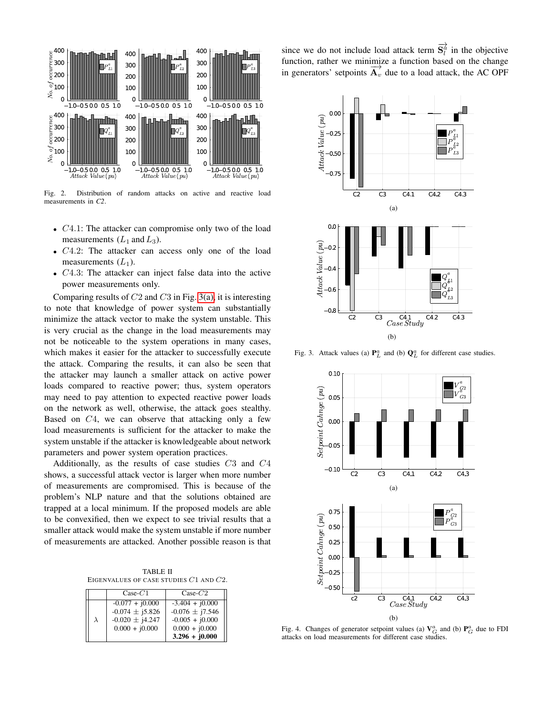

Fig. 2. Distribution of random attacks on active and reactive load measurements in *C2*.

- C4.1: The attacker can compromise only two of the load measurements  $(L_1 \text{ and } L_3)$ .
- C4.2: The attacker can access only one of the load measurements  $(L_1)$ .
- C4.3: The attacker can inject false data into the active power measurements only.

Comparing results of  $C2$  and  $C3$  in Fig. [3\(a\),](#page-3-3) it is interesting to note that knowledge of power system can substantially minimize the attack vector to make the system unstable. This is very crucial as the change in the load measurements may not be noticeable to the system operations in many cases, which makes it easier for the attacker to successfully execute the attack. Comparing the results, it can also be seen that the attacker may launch a smaller attack on active power loads compared to reactive power; thus, system operators may need to pay attention to expected reactive power loads on the network as well, otherwise, the attack goes stealthy. Based on  $C_4$ , we can observe that attacking only a few load measurements is sufficient for the attacker to make the system unstable if the attacker is knowledgeable about network parameters and power system operation practices.

Additionally, as the results of case studies C3 and C4 shows, a successful attack vector is larger when more number of measurements are compromised. This is because of the problem's NLP nature and that the solutions obtained are trapped at a local minimum. If the proposed models are able to be convexified, then we expect to see trivial results that a smaller attack would make the system unstable if more number of measurements are attacked. Another possible reason is that

<span id="page-3-0"></span>TABLE II EIGENVALUES OF CASE STUDIES C1 AND C2.

|   | $Case-C1$                                                                           | $Case-C2$                                                                                             |
|---|-------------------------------------------------------------------------------------|-------------------------------------------------------------------------------------------------------|
| λ | $-0.077 + j0.000$<br>$-0.074 \pm j5.826$<br>$-0.020 \pm j4.247$<br>$0.000 + j0.000$ | $-3.404 + i0.000$<br>$-0.076 \pm j7.546$<br>$-0.005 + j0.000$<br>$0.000 + j0.000$<br>$3.296 + j0.000$ |

since we do not include load attack term  $\overrightarrow{S}_l^{\hat{a}}$  in the objective function, rather we minimize a function based on the change in generators' setpoints  $\overrightarrow{A_v}$  due to a load attack, the AC OPF

<span id="page-3-3"></span><span id="page-3-1"></span>

<span id="page-3-5"></span>Fig. 3. Attack values (a)  $\mathbf{P}_L^a$  and (b)  $\mathbf{Q}_L^a$  for different case studies.



<span id="page-3-4"></span><span id="page-3-2"></span>Fig. 4. Changes of generator setpoint values (a)  $V_G^a$  and (b)  $P_G^a$  due to FDI attacks on load measurements for different case studies.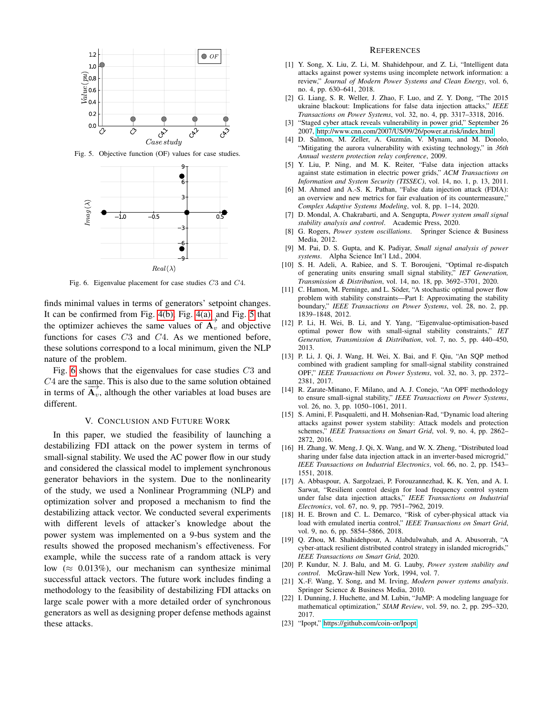

Fig. 5. Objective function (OF) values for case studies.



Fig. 6. Eigenvalue placement for case studies C3 and C4.

finds minimal values in terms of generators' setpoint changes. It can be confirmed from Fig. [4\(b\),](#page-3-4) Fig. [4\(a\),](#page-3-5) and Fig. [5](#page-4-24) that the can be committed from Fig.  $\div$ (b), Fig.  $\div$ (a),  $\overrightarrow{A_v}$  and objective the optimizer achieves the same values of  $\overrightarrow{A_v}$  and objective functions for cases C3 and C4. As we mentioned before, these solutions correspond to a local minimum, given the NLP nature of the problem.

Fig. [6](#page-4-25) shows that the eigenvalues for case studies C3 and C4 are the same. This is also due to the same solution obtained  $\overline{O}$  + are the same. This is also due to the same solution obtained<br>in terms of  $\overrightarrow{A_v}$ , although the other variables at load buses are different.

## V. CONCLUSION AND FUTURE WORK

<span id="page-4-19"></span>In this paper, we studied the feasibility of launching a destabilizing FDI attack on the power system in terms of small-signal stability. We used the AC power flow in our study and considered the classical model to implement synchronous generator behaviors in the system. Due to the nonlinearity of the study, we used a Nonlinear Programming (NLP) and optimization solver and proposed a mechanism to find the destabilizing attack vector. We conducted several experiments with different levels of attacker's knowledge about the power system was implemented on a 9-bus system and the results showed the proposed mechanism's effectiveness. For example, while the success rate of a random attack is very low ( $\approx 0.013\%$ ), our mechanism can synthesize minimal successful attack vectors. The future work includes finding a methodology to the feasibility of destabilizing FDI attacks on large scale power with a more detailed order of synchronous generators as well as designing proper defense methods against these attacks.

#### **REFERENCES**

- <span id="page-4-0"></span>[1] Y. Song, X. Liu, Z. Li, M. Shahidehpour, and Z. Li, "Intelligent data attacks against power systems using incomplete network information: a review," *Journal of Modern Power Systems and Clean Energy*, vol. 6, no. 4, pp. 630–641, 2018.
- <span id="page-4-1"></span>[2] G. Liang, S. R. Weller, J. Zhao, F. Luo, and Z. Y. Dong, "The 2015 ukraine blackout: Implications for false data injection attacks," *IEEE Transactions on Power Systems*, vol. 32, no. 4, pp. 3317–3318, 2016.
- <span id="page-4-2"></span>[3] "Staged cyber attack reveals vulnerability in power grid," September 26 2007, [http://www.cnn.com/2007/US/09/26/power.at.risk/index.html.](http://www.cnn.com/2007/US/ 09/26/power.at.risk/index.html)
- <span id="page-4-24"></span><span id="page-4-3"></span>[4] D. Salmon, M. Zeller, A. Guzmán, V. Mynam, and M. Donolo, "Mitigating the aurora vulnerability with existing technology," in *36th Annual western protection relay conference*, 2009.
- <span id="page-4-4"></span>[5] Y. Liu, P. Ning, and M. K. Reiter, "False data injection attacks against state estimation in electric power grids," *ACM Transactions on Information and System Security (TISSEC)*, vol. 14, no. 1, p. 13, 2011.
- <span id="page-4-5"></span>[6] M. Ahmed and A.-S. K. Pathan, "False data injection attack (FDIA): an overview and new metrics for fair evaluation of its countermeasure," *Complex Adaptive Systems Modeling*, vol. 8, pp. 1–14, 2020.
- <span id="page-4-6"></span>[7] D. Mondal, A. Chakrabarti, and A. Sengupta, *Power system small signal stability analysis and control*. Academic Press, 2020.
- <span id="page-4-7"></span>[8] G. Rogers, *Power system oscillations*. Springer Science & Business Media, 2012.
- <span id="page-4-8"></span>[9] M. Pai, D. S. Gupta, and K. Padiyar, *Small signal analysis of power systems*. Alpha Science Int'l Ltd., 2004.
- <span id="page-4-25"></span><span id="page-4-9"></span>[10] S. H. Adeli, A. Rabiee, and S. T. Boroujeni, "Optimal re-dispatch of generating units ensuring small signal stability," *IET Generation, Transmission & Distribution*, vol. 14, no. 18, pp. 3692–3701, 2020.
- <span id="page-4-10"></span>[11] C. Hamon, M. Perninge, and L. Söder, "A stochastic optimal power flow problem with stability constraints—Part I: Approximating the stability boundary," *IEEE Transactions on Power Systems*, vol. 28, no. 2, pp. 1839–1848, 2012.
- <span id="page-4-11"></span>[12] P. Li, H. Wei, B. Li, and Y. Yang, "Eigenvalue-optimisation-based optimal power flow with small-signal stability constraints," *IET Generation, Transmission & Distribution*, vol. 7, no. 5, pp. 440–450, 2013.
- <span id="page-4-12"></span>[13] P. Li, J. Qi, J. Wang, H. Wei, X. Bai, and F. Qiu, "An SQP method combined with gradient sampling for small-signal stability constrained OPF," *IEEE Transactions on Power Systems*, vol. 32, no. 3, pp. 2372– 2381, 2017.
- <span id="page-4-13"></span>[14] R. Zarate-Minano, F. Milano, and A. J. Conejo, "An OPF methodology to ensure small-signal stability," *IEEE Transactions on Power Systems*, vol. 26, no. 3, pp. 1050–1061, 2011.
- <span id="page-4-14"></span>[15] S. Amini, F. Pasqualetti, and H. Mohsenian-Rad, "Dynamic load altering attacks against power system stability: Attack models and protection schemes," *IEEE Transactions on Smart Grid*, vol. 9, no. 4, pp. 2862– 2872, 2016.
- <span id="page-4-15"></span>[16] H. Zhang, W. Meng, J. Qi, X. Wang, and W. X. Zheng, "Distributed load sharing under false data injection attack in an inverter-based microgrid," *IEEE Transactions on Industrial Electronics*, vol. 66, no. 2, pp. 1543– 1551, 2018.
- <span id="page-4-16"></span>[17] A. Abbaspour, A. Sargolzaei, P. Forouzannezhad, K. K. Yen, and A. I. Sarwat, "Resilient control design for load frequency control system under false data injection attacks," *IEEE Transactions on Industrial Electronics*, vol. 67, no. 9, pp. 7951–7962, 2019.
- <span id="page-4-17"></span>[18] H. E. Brown and C. L. Demarco, "Risk of cyber-physical attack via load with emulated inertia control," *IEEE Transactions on Smart Grid*, vol. 9, no. 6, pp. 5854–5866, 2018.
- <span id="page-4-18"></span>[19] Q. Zhou, M. Shahidehpour, A. Alabdulwahab, and A. Abusorrah, "A cyber-attack resilient distributed control strategy in islanded microgrids," *IEEE Transactions on Smart Grid*, 2020.
- <span id="page-4-20"></span>[20] P. Kundur, N. J. Balu, and M. G. Lauby, *Power system stability and control*. McGraw-hill New York, 1994, vol. 7.
- <span id="page-4-21"></span>[21] X.-F. Wang, Y. Song, and M. Irving, *Modern power systems analysis*. Springer Science & Business Media, 2010.
- <span id="page-4-22"></span>[22] I. Dunning, J. Huchette, and M. Lubin, "JuMP: A modeling language for mathematical optimization," *SIAM Review*, vol. 59, no. 2, pp. 295–320, 2017.
- <span id="page-4-23"></span>[23] "Ipopt," [https://github.com/coin-or/Ipopt.](https://github.com/coin-or/Ipopt)